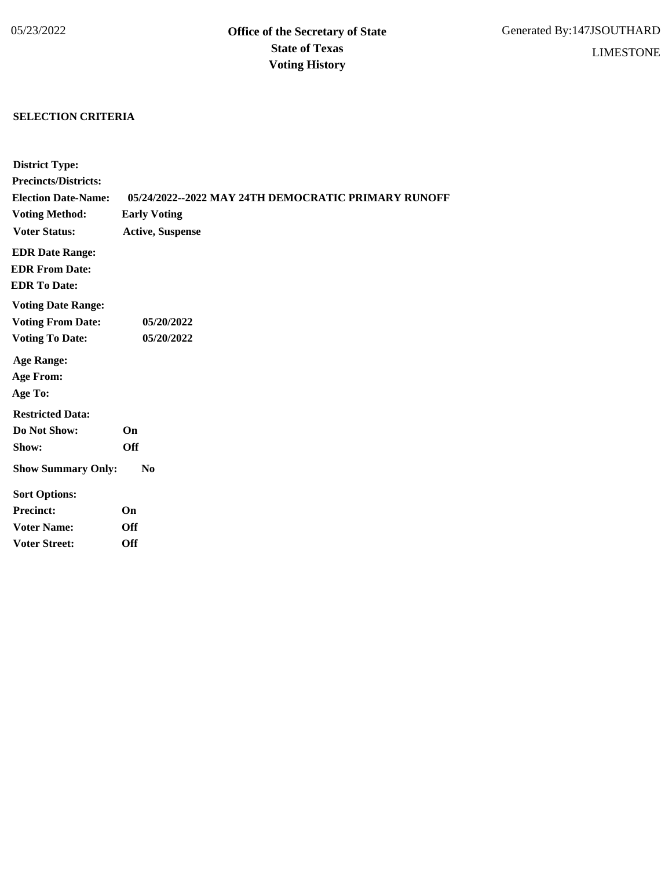## **SELECTION CRITERIA**

| <b>District Type:</b>       |                                                     |
|-----------------------------|-----------------------------------------------------|
| <b>Precincts/Districts:</b> |                                                     |
| <b>Election Date-Name:</b>  | 05/24/2022--2022 MAY 24TH DEMOCRATIC PRIMARY RUNOFF |
| <b>Voting Method:</b>       | <b>Early Voting</b>                                 |
| <b>Voter Status:</b>        | <b>Active, Suspense</b>                             |
| <b>EDR Date Range:</b>      |                                                     |
| <b>EDR From Date:</b>       |                                                     |
| <b>EDR To Date:</b>         |                                                     |
| <b>Voting Date Range:</b>   |                                                     |
| <b>Voting From Date:</b>    | 05/20/2022                                          |
| <b>Voting To Date:</b>      | 05/20/2022                                          |
| <b>Age Range:</b>           |                                                     |
| <b>Age From:</b>            |                                                     |
| Age To:                     |                                                     |
| <b>Restricted Data:</b>     |                                                     |
| Do Not Show:                | On                                                  |
| Show:                       | <b>Off</b>                                          |
| <b>Show Summary Only:</b>   | N <sub>0</sub>                                      |
| <b>Sort Options:</b>        |                                                     |
| <b>Precinct:</b>            | On                                                  |
| <b>Voter Name:</b>          | <b>Off</b>                                          |
| <b>Voter Street:</b>        | <b>Off</b>                                          |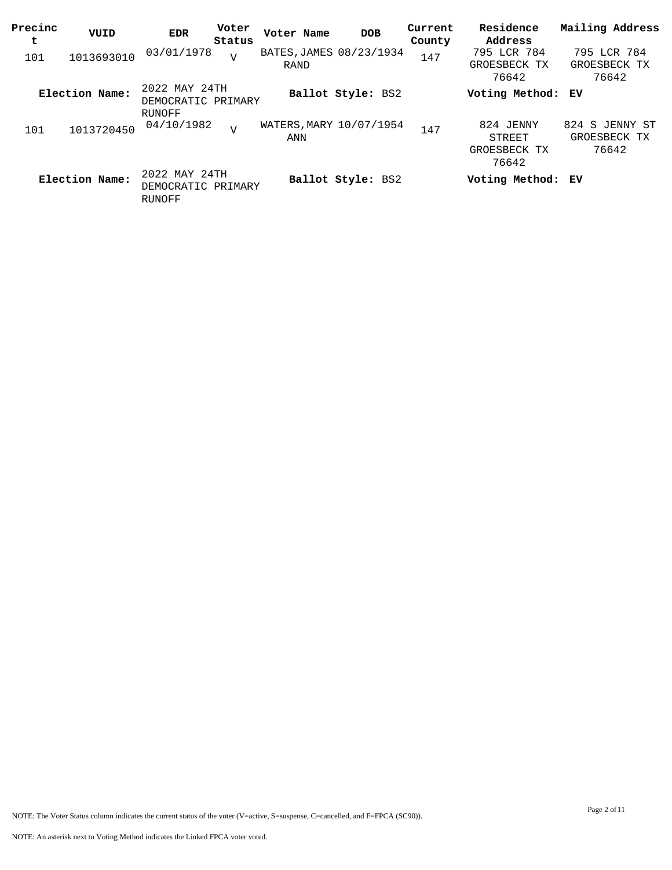| Precinc<br>t | VUID           | <b>EDR</b>                                    | Voter<br>Status | Voter Name                      | <b>DOB</b>        | Current<br>County | Residence<br>Address                         | Mailing Address                         |
|--------------|----------------|-----------------------------------------------|-----------------|---------------------------------|-------------------|-------------------|----------------------------------------------|-----------------------------------------|
| 101          | 1013693010     | 03/01/1978                                    | $\overline{V}$  | BATES, JAMES 08/23/1934<br>RAND |                   | 147               | 795 LCR 784<br>GROESBECK TX<br>76642         | 795 LCR 784<br>GROESBECK TX<br>76642    |
|              | Election Name: | 2022 MAY 24TH<br>DEMOCRATIC PRIMARY<br>RUNOFF |                 |                                 | Ballot Style: BS2 |                   | Voting Method: EV                            |                                         |
| 101          | 1013720450     | 04/10/1982                                    | $\overline{V}$  | WATERS, MARY 10/07/1954<br>ANN  |                   | 147               | 824 JENNY<br>STREET<br>GROESBECK TX<br>76642 | 824 S JENNY ST<br>GROESBECK TX<br>76642 |
|              | Election Name: | 2022 MAY 24TH<br>DEMOCRATIC PRIMARY<br>RUNOFF |                 |                                 | Ballot Style: BS2 |                   | Voting Method: EV                            |                                         |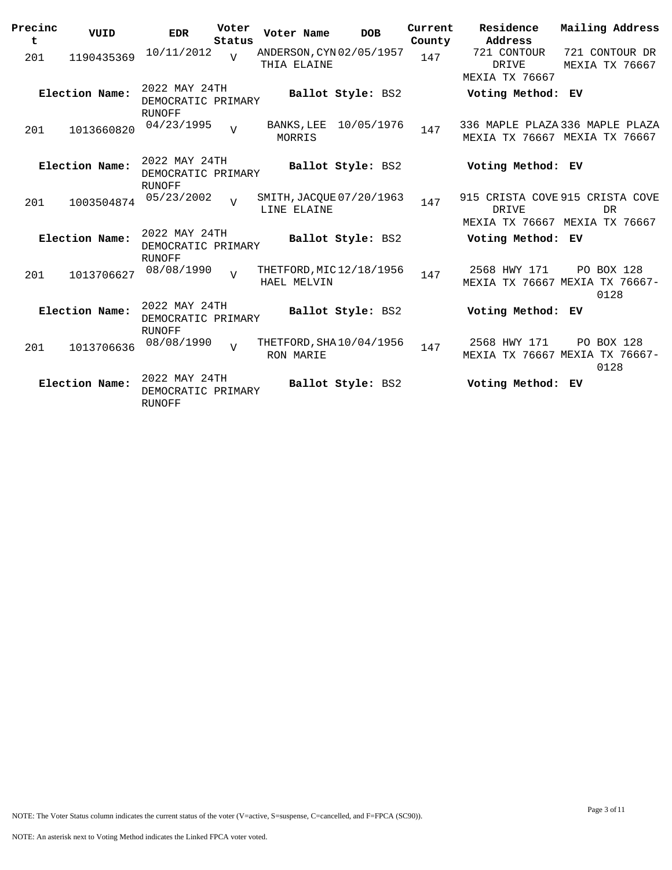| Precinc<br>t | VUID           | <b>EDR</b>                                           | Voter<br>Status | Voter Name                              | <b>DOB</b>        | Current<br>County | Residence<br>Address                          | Mailing Address                                                        |
|--------------|----------------|------------------------------------------------------|-----------------|-----------------------------------------|-------------------|-------------------|-----------------------------------------------|------------------------------------------------------------------------|
| 201          | 1190435369     | 10/11/2012                                           | $\overline{U}$  | ANDERSON, CYN 02/05/1957<br>THIA ELAINE |                   | 147               | 721 CONTOUR<br>DRIVE<br><b>MEXIA TX 76667</b> | 721 CONTOUR DR<br><b>MEXIA TX 76667</b>                                |
|              | Election Name: | 2022 MAY 24TH<br>DEMOCRATIC PRIMARY<br><b>RUNOFF</b> |                 |                                         | Ballot Style: BS2 |                   | Voting Method: EV                             |                                                                        |
| 201          | 1013660820     | 04/23/1995                                           | $\overline{v}$  | BANKS, LEE<br>MORRIS                    | 10/05/1976        | 147               |                                               | 336 MAPLE PLAZA 336 MAPLE PLAZA<br>MEXIA TX 76667 MEXIA TX 76667       |
|              | Election Name: | 2022 MAY 24TH<br>DEMOCRATIC PRIMARY<br><b>RUNOFF</b> |                 |                                         | Ballot Style: BS2 |                   | Voting Method: EV                             |                                                                        |
| 201          | 1003504874     | 05/23/2002                                           | $\overline{V}$  | SMITH, JACQUE 07/20/1963<br>LINE ELAINE |                   | 147               | <b>DRIVE</b>                                  | 915 CRISTA COVE 915 CRISTA COVE<br>DR<br>MEXIA TX 76667 MEXIA TX 76667 |
|              | Election Name: | 2022 MAY 24TH<br>DEMOCRATIC PRIMARY<br><b>RUNOFF</b> |                 |                                         | Ballot Style: BS2 |                   | Voting Method: EV                             |                                                                        |
| 201          | 1013706627     | 08/08/1990                                           | $\overline{U}$  | THETFORD, MIC 12/18/1956<br>HAEL MELVIN |                   | 147               | 2568 HWY 171                                  | PO BOX 128<br>MEXIA TX 76667 MEXIA TX 76667-<br>0128                   |
|              | Election Name: | 2022 MAY 24TH<br>DEMOCRATIC PRIMARY<br><b>RUNOFF</b> |                 |                                         | Ballot Style: BS2 |                   | Voting Method: EV                             |                                                                        |
| 201          | 1013706636     | 08/08/1990                                           | $\overline{U}$  | THETFORD, SHA 10/04/1956<br>RON MARIE   |                   | 147               | 2568 HWY 171                                  | PO BOX 128<br>MEXIA TX 76667 MEXIA TX 76667-<br>0128                   |
|              | Election Name: | 2022 MAY 24TH<br>DEMOCRATIC PRIMARY<br><b>RUNOFF</b> |                 |                                         | Ballot Style: BS2 |                   | Voting Method: EV                             |                                                                        |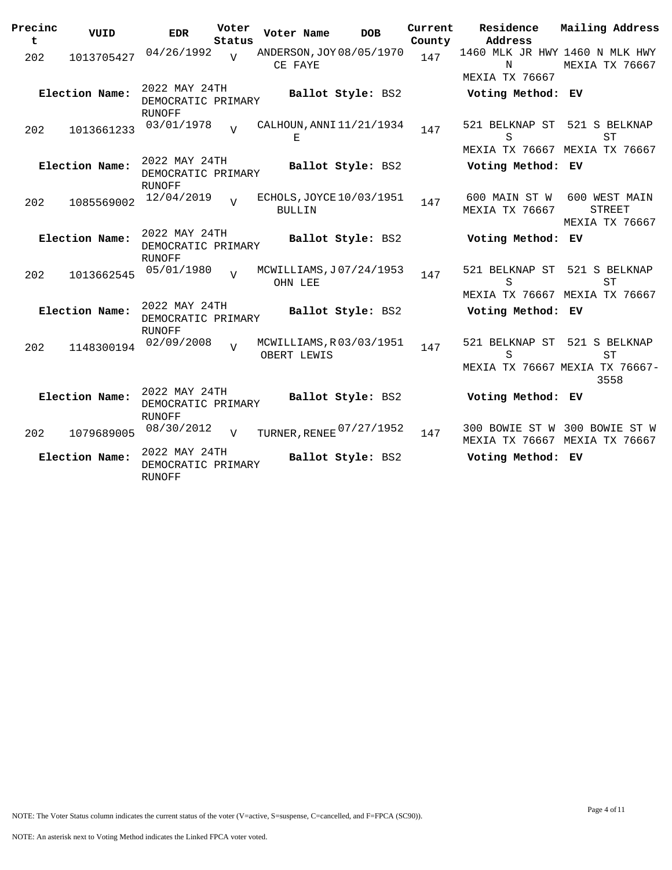| Precinc<br>t | VUID           | <b>EDR</b>                                           | Voter<br>Status | Voter Name    | <b>DOB</b>               | Current<br>County | Residence<br>Address                                         | Mailing Address                                                      |
|--------------|----------------|------------------------------------------------------|-----------------|---------------|--------------------------|-------------------|--------------------------------------------------------------|----------------------------------------------------------------------|
| 202          | 1013705427     | 04/26/1992                                           | $\overline{U}$  | CE FAYE       | ANDERSON, JOY 08/05/1970 | 147               | 1460 MLK JR HWY 1460 N MLK HWY<br>N<br><b>MEXIA TX 76667</b> | MEXIA TX 76667                                                       |
|              | Election Name: | 2022 MAY 24TH<br>DEMOCRATIC PRIMARY<br><b>RUNOFF</b> |                 |               | Ballot Style: BS2        |                   | Voting Method: EV                                            |                                                                      |
| 202          | 1013661233     | 03/01/1978                                           | $\tau$          | Е             | CALHOUN, ANNI 11/21/1934 | 147               | 521 BELKNAP ST<br>S                                          | 521 S BELKNAP<br><b>ST</b>                                           |
|              | Election Name: | 2022 MAY 24TH<br>DEMOCRATIC PRIMARY<br><b>RUNOFF</b> |                 |               | Ballot Style: BS2        |                   | Voting Method: EV                                            | MEXIA TX 76667 MEXIA TX 76667                                        |
| 202          | 1085569002     | 12/04/2019                                           | $\overline{U}$  | <b>BULLIN</b> | ECHOLS, JOYCE 10/03/1951 | 147               | 600 MAIN ST W<br>MEXIA TX 76667                              | 600 WEST MAIN<br><b>STREET</b><br>MEXIA TX 76667                     |
|              | Election Name: | 2022 MAY 24TH<br>DEMOCRATIC PRIMARY<br>RUNOFF        |                 |               | Ballot Style: BS2        |                   | Voting Method: EV                                            |                                                                      |
| 202          | 1013662545     | 05/01/1980                                           | $\overline{V}$  | OHN LEE       | MCWILLIAMS, J07/24/1953  | 147               | 521 BELKNAP ST<br>S                                          | 521 S BELKNAP<br>ST                                                  |
|              | Election Name: | 2022 MAY 24TH<br>DEMOCRATIC PRIMARY<br><b>RUNOFF</b> |                 |               | Ballot Style: BS2        |                   | Voting Method: EV                                            | MEXIA TX 76667 MEXIA TX 76667                                        |
| 202          | 1148300194     | 02/09/2008                                           | $\overline{z}$  | OBERT LEWIS   | MCWILLIAMS, R03/03/1951  | 147               | 521 BELKNAP ST<br>S                                          | 521 S BELKNAP<br><b>ST</b><br>MEXIA TX 76667 MEXIA TX 76667-<br>3558 |
|              | Election Name: | 2022 MAY 24TH<br>DEMOCRATIC PRIMARY                  |                 |               | Ballot Style: BS2        |                   | Voting Method: EV                                            |                                                                      |
| 202          | 1079689005     | RUNOFF<br>08/30/2012                                 | $\overline{V}$  |               | TURNER, RENEE 07/27/1952 | 147               |                                                              | 300 BOWIE ST W 300 BOWIE ST W<br>MEXIA TX 76667 MEXIA TX 76667       |
|              | Election Name: | 2022 MAY 24TH<br>DEMOCRATIC PRIMARY<br><b>RUNOFF</b> |                 |               | Ballot Style: BS2        |                   | Voting Method: EV                                            |                                                                      |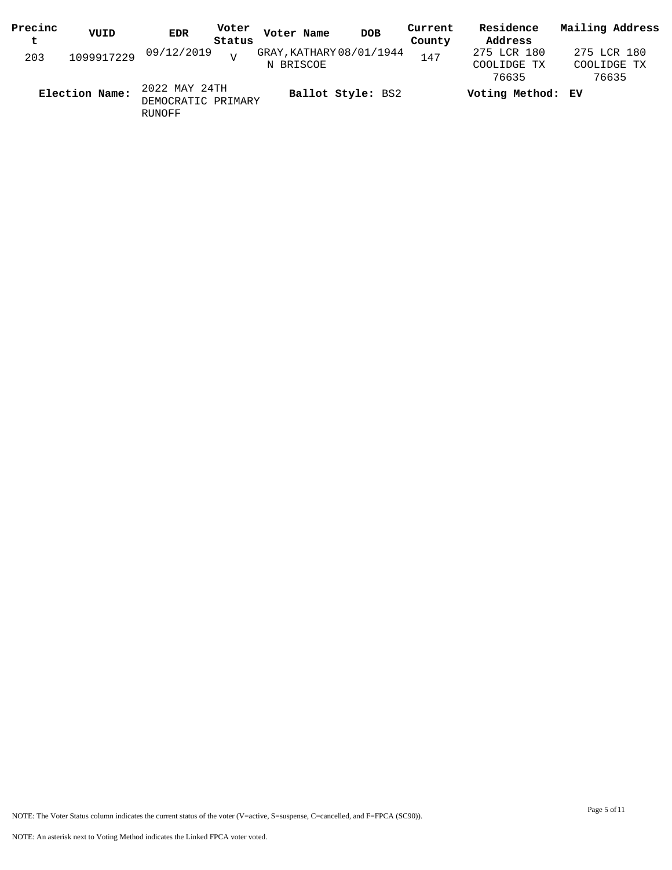| Precinc<br>t | VUID           | Voter<br><b>EDR</b><br>Status       | Voter Name<br><b>DOB</b>              | Current<br>County | Residence<br>Address                | Mailing Address                     |
|--------------|----------------|-------------------------------------|---------------------------------------|-------------------|-------------------------------------|-------------------------------------|
| 203          | 1099917229     | 09/12/2019                          | GRAY, KATHARY 08/01/1944<br>N BRISCOE | 147               | 275 LCR 180<br>COOLIDGE TX<br>76635 | 275 LCR 180<br>COOLIDGE TX<br>76635 |
|              | Election Name: | 2022 MAY 24TH<br>DEMOCRATIC PRIMARY | Ballot Style: BS2                     |                   | Voting Method: EV                   |                                     |

RUNOFF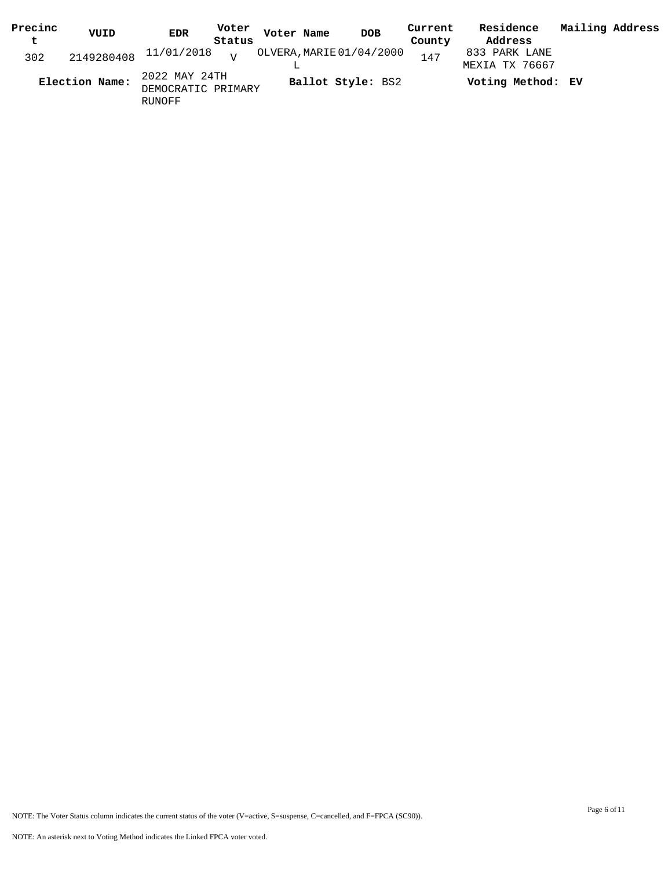| Precinc | VUID           | <b>EDR</b>                                    | Voter<br>Voter Name |                          | <b>DOB</b> | Current | Residence                       | Mailing Address |  |
|---------|----------------|-----------------------------------------------|---------------------|--------------------------|------------|---------|---------------------------------|-----------------|--|
| t       |                | Status                                        |                     |                          |            | County  | Address                         |                 |  |
| 302     |                | $2149280408$ $11/01/2018$ $_{\rm V}$          |                     | OLVERA, MARIE 01/04/2000 |            | 147     | 833 PARK LANE<br>MEXIA TX 76667 |                 |  |
|         | Election Name: | 2022 MAY 24TH<br>DEMOCRATIC PRIMARY<br>RUNOFF |                     | Ballot Style: BS2        |            |         | Voting Method: EV               |                 |  |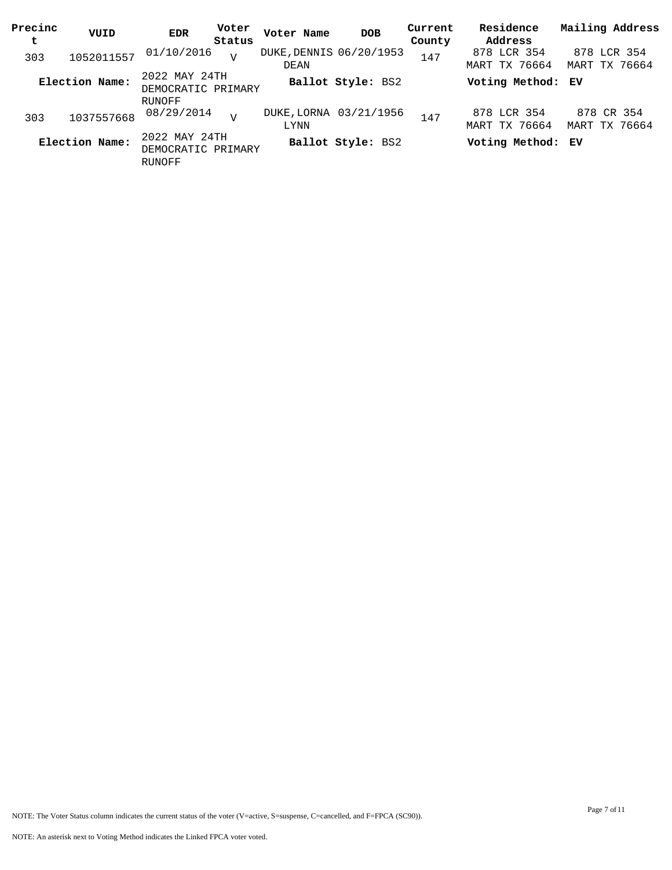| Precinc<br>t | VUID           | <b>EDR</b>                                           | Voter<br>Status | Voter Name                      | <b>DOB</b>             | Current<br>County | Residence<br>Address         | Mailing Address              |
|--------------|----------------|------------------------------------------------------|-----------------|---------------------------------|------------------------|-------------------|------------------------------|------------------------------|
| 303          | 1052011557     | 01/10/2016                                           |                 | DUKE, DENNIS 06/20/1953<br>DEAN |                        | 147               | 878 LCR 354<br>MART TX 76664 | 878 LCR 354<br>MART TX 76664 |
|              | Election Name: | 2022 MAY 24TH<br>DEMOCRATIC PRIMARY                  |                 |                                 | Ballot Style: BS2      |                   | Voting Method: EV            |                              |
| 303          | 1037557668     | RUNOFF<br>08/29/2014                                 |                 | LYNN                            | DUKE, LORNA 03/21/1956 | 147               | 878 LCR 354<br>MART TX 76664 | 878 CR 354<br>MART TX 76664  |
|              | Election Name: | 2022 MAY 24TH<br>DEMOCRATIC PRIMARY<br><b>RUNOFF</b> |                 |                                 | Ballot Style: BS2      |                   | Voting Method: EV            |                              |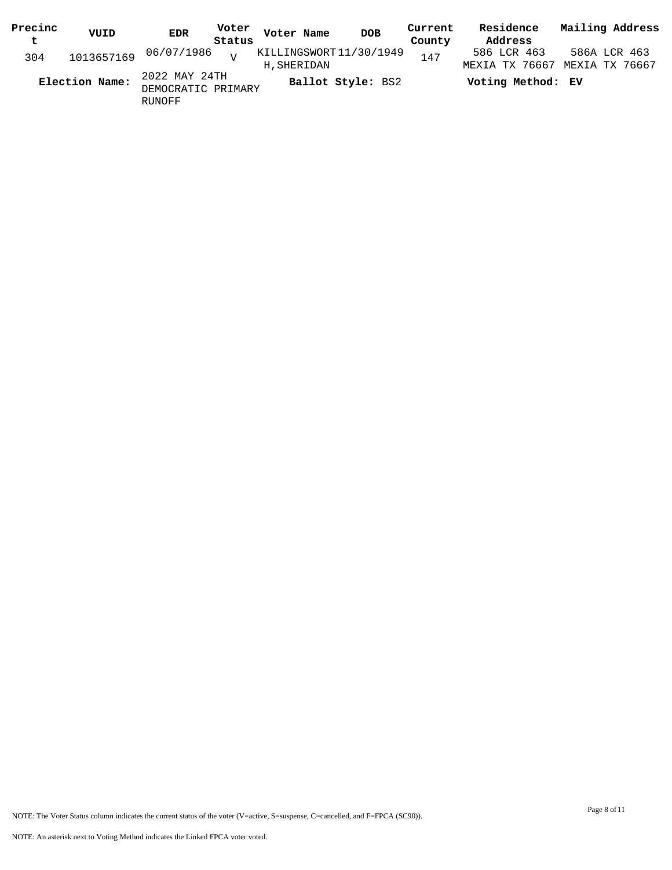| Precinc | VUID           | Voter<br>EDR                        | Voter Name                            | <b>DOB</b> | Current | Residence         | Mailing Address                               |
|---------|----------------|-------------------------------------|---------------------------------------|------------|---------|-------------------|-----------------------------------------------|
| t       |                | Status                              |                                       |            | County  | Address           |                                               |
| 304     |                | 1013657169 06/07/1986 <sub>v</sub>  | KILLINGSWORT11/30/1949<br>H, SHERIDAN |            | 147     | 586 LCR 463       | 586A LCR 463<br>MEXIA TX 76667 MEXIA TX 76667 |
|         | Election Name: | 2022 MAY 24TH<br>DEMOCRATIC PRIMARY | Ballot Style: BS2                     |            |         | Voting Method: EV |                                               |
|         |                | RUNOFF                              |                                       |            |         |                   |                                               |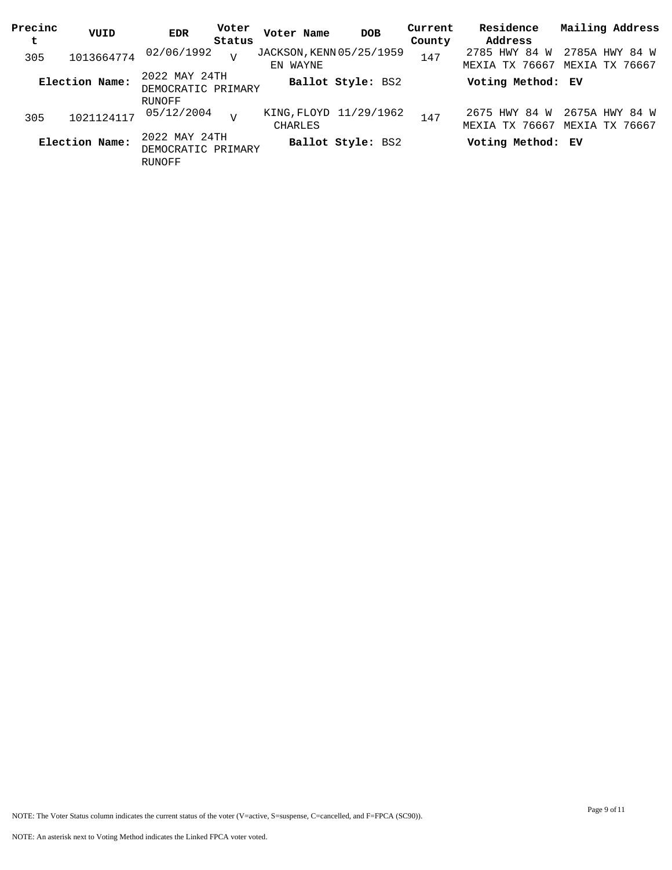| Precinc<br>t | VUID           | Voter<br><b>EDR</b><br>Status                        | Voter Name                           | <b>DOB</b>        | Current<br>County | Residence<br>Address                   | Mailing Address                  |
|--------------|----------------|------------------------------------------------------|--------------------------------------|-------------------|-------------------|----------------------------------------|----------------------------------|
| 305          | 1013664774     | 02/06/1992<br>$\overline{v}$                         | JACKSON, KENN 05/25/1959<br>EN WAYNE |                   | 147               | 2785 HWY 84 W<br>MEXIA TX 76667        | 2785A HWY 84 W<br>MEXIA TX 76667 |
|              | Election Name: | 2022 MAY 24TH<br>DEMOCRATIC PRIMARY                  |                                      | Ballot Style: BS2 |                   | Voting Method: EV                      |                                  |
| 305          | 1021124117     | RUNOFF<br>05/12/2004                                 | KING, FLOYD 11/29/1962<br>CHARLES    |                   | 147               | 2675 HWY 84 W<br><b>MEXIA TX 76667</b> | 2675A HWY 84 W<br>MEXIA TX 76667 |
|              | Election Name: | 2022 MAY 24TH<br>DEMOCRATIC PRIMARY<br><b>RUNOFF</b> |                                      | Ballot Style: BS2 |                   | Voting Method: EV                      |                                  |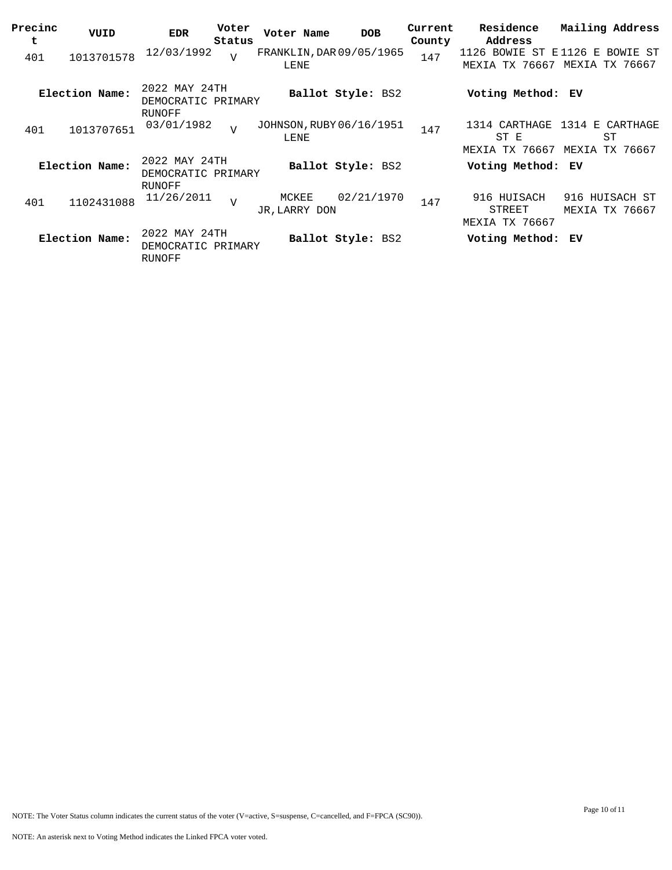| Precinc<br>t | VUID           | <b>EDR</b>                                    | Voter<br>Status | Voter Name                       | <b>DOB</b>        | Current<br>County | Residence<br>Address                    | Mailing Address                                                      |
|--------------|----------------|-----------------------------------------------|-----------------|----------------------------------|-------------------|-------------------|-----------------------------------------|----------------------------------------------------------------------|
| 401          | 1013701578     | 12/03/1992                                    | $\overline{v}$  | FRANKLIN, DAR 09/05/1965<br>LENE |                   | 147               | MEXIA TX 76667                          | 1126 BOWIE ST E1126 E BOWIE ST<br>MEXIA<br>TX 76667                  |
|              | Election Name: | 2022 MAY 24TH<br>DEMOCRATIC PRIMARY<br>RUNOFF |                 |                                  | Ballot Style: BS2 |                   | Voting Method: EV                       |                                                                      |
| 401          | 1013707651     | 03/01/1982                                    | $\overline{V}$  | JOHNSON, RUBY 06/16/1951<br>LENE |                   | 147               | ST E                                    | 1314 CARTHAGE 1314 E CARTHAGE<br>ST<br>MEXIA TX 76667 MEXIA TX 76667 |
|              | Election Name: | 2022 MAY 24TH<br>DEMOCRATIC PRIMARY<br>RUNOFF |                 |                                  | Ballot Style: BS2 |                   | Voting Method: EV                       |                                                                      |
| 401          | 1102431088     | 11/26/2011                                    | $\mathbf{V}$    | MCKEE<br>JR, LARRY DON           | 02/21/1970        | 147               | 916 HUISACH<br>STREET<br>MEXIA TX 76667 | 916 HUISACH ST<br>MEXIA TX 76667                                     |
|              | Election Name: | 2022 MAY 24TH<br>DEMOCRATIC PRIMARY<br>RUNOFF |                 |                                  | Ballot Style: BS2 |                   | Voting Method: EV                       |                                                                      |